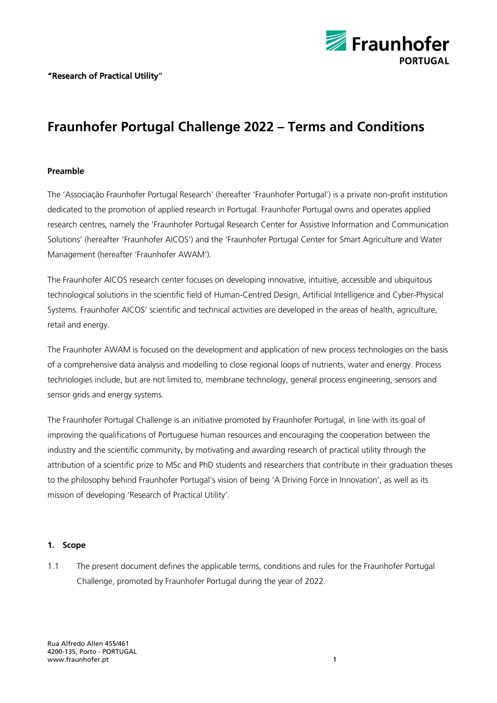

# **Fraunhofer Portugal Challenge 2022 – Terms and Conditions**

## **Preamble**

The 'Associação Fraunhofer Portugal Research' (hereafter 'Fraunhofer Portugal') is a private non-profit institution dedicated to the promotion of applied research in Portugal. Fraunhofer Portugal owns and operates applied research centres, namely the 'Fraunhofer Portugal Research Center for Assistive Information and Communication Solutions' (hereafter 'Fraunhofer AICOS') and the 'Fraunhofer Portugal Center for Smart Agriculture and Water Management (hereafter 'Fraunhofer AWAM').

The Fraunhofer AICOS research center focuses on developing innovative, intuitive, accessible and ubiquitous technological solutions in the scientific field of Human-Centred Design, Artificial Intelligence and Cyber-Physical Systems. Fraunhofer AICOS' scientific and technical activities are developed in the areas of health, agriculture, retail and energy.

The Fraunhofer AWAM is focused on the development and application of new process technologies on the basis of a comprehensive data analysis and modelling to close regional loops of nutrients, water and energy. Process technologies include, but are not limited to, membrane technology, general process engineering, sensors and sensor grids and energy systems.

The Fraunhofer Portugal Challenge is an initiative promoted by Fraunhofer Portugal, in line with its goal of improving the qualifications of Portuguese human resources and encouraging the cooperation between the industry and the scientific community, by motivating and awarding research of practical utility through the attribution of a scientific prize to MSc and PhD students and researchers that contribute in their graduation theses to the philosophy behind Fraunhofer Portugal's vision of being 'A Driving Force in Innovation', as well as its mission of developing 'Research of Practical Utility'.

#### **1. Scope**

1.1 The present document defines the applicable terms, conditions and rules for the Fraunhofer Portugal Challenge, promoted by Fraunhofer Portugal during the year of 2022.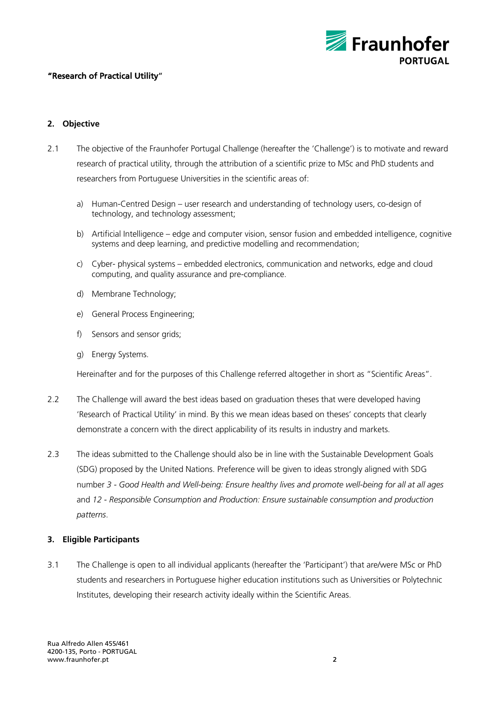

# **2. Objective**

- 2.1 The objective of the Fraunhofer Portugal Challenge (hereafter the 'Challenge') is to motivate and reward research of practical utility, through the attribution of a scientific prize to MSc and PhD students and researchers from Portuguese Universities in the scientific areas of:
	- a) Human-Centred Design user research and understanding of technology users, co-design of technology, and technology assessment;
	- b) Artificial Intelligence edge and computer vision, sensor fusion and embedded intelligence, cognitive systems and deep learning, and predictive modelling and recommendation;
	- c) Cyber- physical systems embedded electronics, communication and networks, edge and cloud computing, and quality assurance and pre-compliance.
	- d) Membrane Technology;
	- e) General Process Engineering;
	- f) Sensors and sensor grids;
	- g) Energy Systems.

Hereinafter and for the purposes of this Challenge referred altogether in short as "Scientific Areas".

- 2.2 The Challenge will award the best ideas based on graduation theses that were developed having 'Research of Practical Utility' in mind. By this we mean ideas based on theses' concepts that clearly demonstrate a concern with the direct applicability of its results in industry and markets.
- 2.3 The ideas submitted to the Challenge should also be in line with the Sustainable Development Goals (SDG) proposed by the United Nations. Preference will be given to ideas strongly aligned with SDG number *3 - Good Health and Well-being: Ensure healthy lives and promote well-being for all at all ages* and *12 - Responsible Consumption and Production: Ensure sustainable consumption and production patterns*.

#### **3. Eligible Participants**

3.1 The Challenge is open to all individual applicants (hereafter the 'Participant') that are/were MSc or PhD students and researchers in Portuguese higher education institutions such as Universities or Polytechnic Institutes, developing their research activity ideally within the Scientific Areas.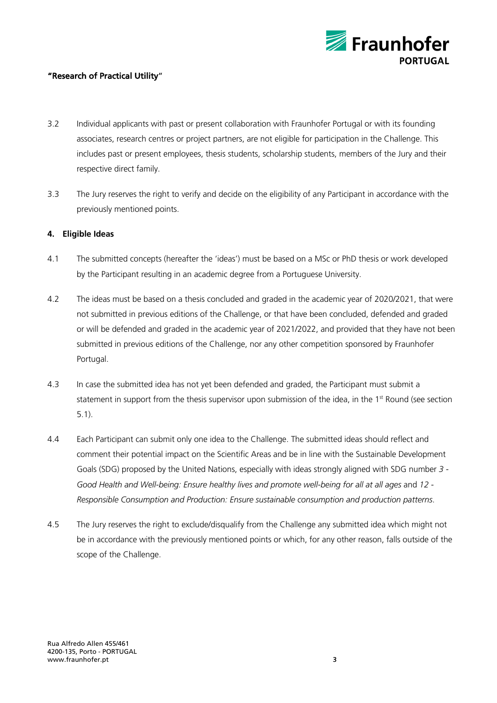

- 3.2 Individual applicants with past or present collaboration with Fraunhofer Portugal or with its founding associates, research centres or project partners, are not eligible for participation in the Challenge. This includes past or present employees, thesis students, scholarship students, members of the Jury and their respective direct family.
- 3.3 The Jury reserves the right to verify and decide on the eligibility of any Participant in accordance with the previously mentioned points.

## **4. Eligible Ideas**

- 4.1 The submitted concepts (hereafter the 'ideas') must be based on a MSc or PhD thesis or work developed by the Participant resulting in an academic degree from a Portuguese University.
- 4.2 The ideas must be based on a thesis concluded and graded in the academic year of 2020/2021, that were not submitted in previous editions of the Challenge, or that have been concluded, defended and graded or will be defended and graded in the academic year of 2021/2022, and provided that they have not been submitted in previous editions of the Challenge, nor any other competition sponsored by Fraunhofer Portugal.
- 4.3 In case the submitted idea has not yet been defended and graded, the Participant must submit a statement in support from the thesis supervisor upon submission of the idea, in the 1<sup>st</sup> Round (see section 5.1).
- 4.4 Each Participant can submit only one idea to the Challenge. The submitted ideas should reflect and comment their potential impact on the Scientific Areas and be in line with the Sustainable Development Goals (SDG) proposed by the United Nations, especially with ideas strongly aligned with SDG number *3 - Good Health and Well-being: Ensure healthy lives and promote well-being for all at all ages* and *12 - Responsible Consumption and Production: Ensure sustainable consumption and production patterns*.
- 4.5 The Jury reserves the right to exclude/disqualify from the Challenge any submitted idea which might not be in accordance with the previously mentioned points or which, for any other reason, falls outside of the scope of the Challenge.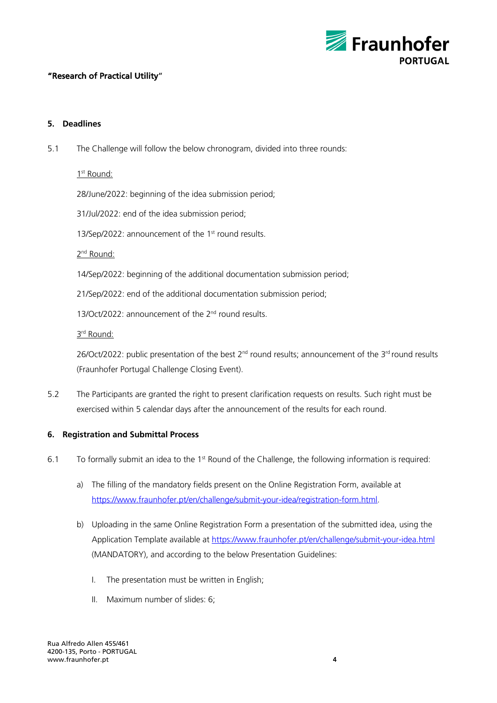

## **5. Deadlines**

5.1 The Challenge will follow the below chronogram, divided into three rounds:

1<sup>st</sup> Round:

28/June/2022: beginning of the idea submission period;

31/Jul/2022: end of the idea submission period;

13/Sep/2022: announcement of the 1st round results.

2<sup>nd</sup> Round:

14/Sep/2022: beginning of the additional documentation submission period;

21/Sep/2022: end of the additional documentation submission period;

13/Oct/2022: announcement of the 2<sup>nd</sup> round results.

3rd Round:

26/Oct/2022: public presentation of the best  $2^{nd}$  round results; announcement of the  $3^{rd}$  round results (Fraunhofer Portugal Challenge Closing Event).

5.2 The Participants are granted the right to present clarification requests on results. Such right must be exercised within 5 calendar days after the announcement of the results for each round.

# **6. Registration and Submittal Process**

- 6.1 To formally submit an idea to the 1st Round of the Challenge, the following information is required:
	- a) The filling of the mandatory fields present on the Online Registration Form, available at https://www.fraunhofer.pt/en/challenge/submit-your-idea/registration-form.html.
	- b) Uploading in the same Online Registration Form a presentation of the submitted idea, using the Application Template available at https://www.fraunhofer.pt/en/challenge/submit-your-idea.html (MANDATORY), and according to the below Presentation Guidelines:
		- I. The presentation must be written in English;
		- II. Maximum number of slides: 6;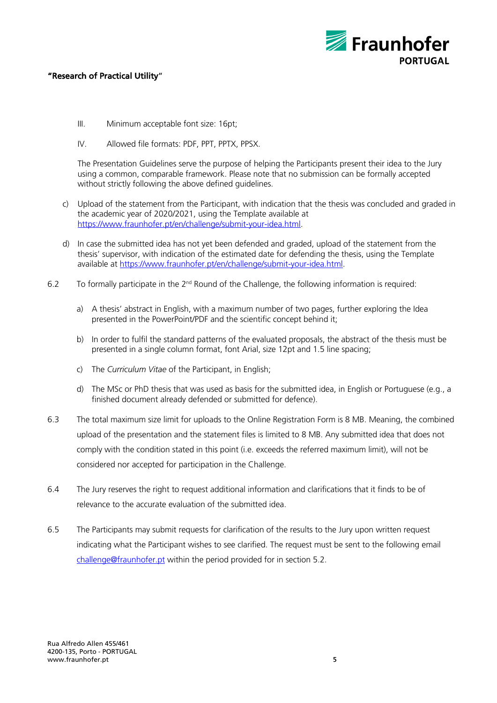

- III. Minimum acceptable font size: 16pt;
- IV. Allowed file formats: PDF, PPT, PPTX, PPSX.

The Presentation Guidelines serve the purpose of helping the Participants present their idea to the Jury using a common, comparable framework. Please note that no submission can be formally accepted without strictly following the above defined quidelines.

- c) Upload of the statement from the Participant, with indication that the thesis was concluded and graded in the academic year of 2020/2021, using the Template available at https://www.fraunhofer.pt/en/challenge/submit-your-idea.html.
- d) In case the submitted idea has not yet been defended and graded, upload of the statement from the thesis' supervisor, with indication of the estimated date for defending the thesis, using the Template available at https://www.fraunhofer.pt/en/challenge/submit-your-idea.html.
- 6.2 To formally participate in the 2<sup>nd</sup> Round of the Challenge, the following information is required:
	- a) A thesis' abstract in English, with a maximum number of two pages, further exploring the Idea presented in the PowerPoint/PDF and the scientific concept behind it;
	- b) In order to fulfil the standard patterns of the evaluated proposals, the abstract of the thesis must be presented in a single column format, font Arial, size 12pt and 1.5 line spacing;
	- c) The *Curriculum Vitae* of the Participant, in English;
	- d) The MSc or PhD thesis that was used as basis for the submitted idea, in English or Portuguese (e.g., a finished document already defended or submitted for defence).
- 6.3 The total maximum size limit for uploads to the Online Registration Form is 8 MB. Meaning, the combined upload of the presentation and the statement files is limited to 8 MB. Any submitted idea that does not comply with the condition stated in this point (i.e. exceeds the referred maximum limit), will not be considered nor accepted for participation in the Challenge.
- 6.4 The Jury reserves the right to request additional information and clarifications that it finds to be of relevance to the accurate evaluation of the submitted idea.
- 6.5 The Participants may submit requests for clarification of the results to the Jury upon written request indicating what the Participant wishes to see clarified. The request must be sent to the following email challenge@fraunhofer.pt within the period provided for in section 5.2.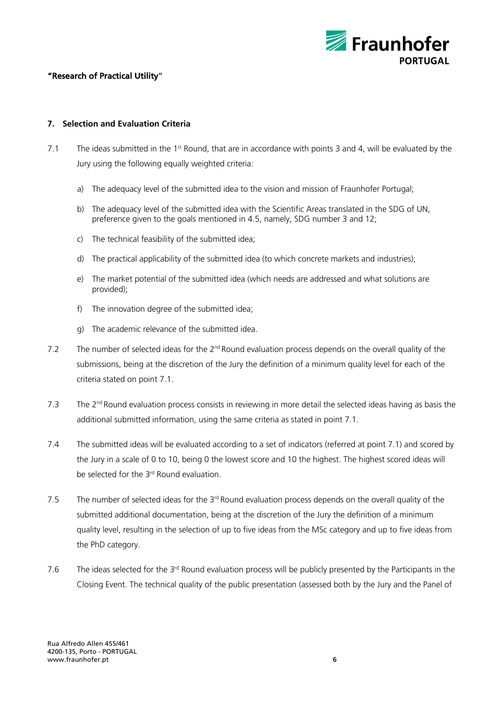

## **7. Selection and Evaluation Criteria**

- 7.1 The ideas submitted in the 1<sup>st</sup> Round, that are in accordance with points 3 and 4, will be evaluated by the Jury using the following equally weighted criteria:
	- a) The adequacy level of the submitted idea to the vision and mission of Fraunhofer Portugal;
	- b) The adequacy level of the submitted idea with the Scientific Areas translated in the SDG of UN. preference given to the goals mentioned in 4.5, namely, SDG number 3 and 12;
	- c) The technical feasibility of the submitted idea;
	- d) The practical applicability of the submitted idea (to which concrete markets and industries);
	- e) The market potential of the submitted idea (which needs are addressed and what solutions are provided);
	- f) The innovation degree of the submitted idea;
	- g) The academic relevance of the submitted idea.
- 7.2 The number of selected ideas for the 2<sup>nd</sup> Round evaluation process depends on the overall quality of the submissions, being at the discretion of the Jury the definition of a minimum quality level for each of the criteria stated on point 7.1.
- 7.3 The  $2<sup>nd</sup>$  Round evaluation process consists in reviewing in more detail the selected ideas having as basis the additional submitted information, using the same criteria as stated in point 7.1.
- 7.4 The submitted ideas will be evaluated according to a set of indicators (referred at point 7.1) and scored by the Jury in a scale of 0 to 10, being 0 the lowest score and 10 the highest. The highest scored ideas will be selected for the 3<sup>rd</sup> Round evaluation.
- 7.5 The number of selected ideas for the  $3<sup>rd</sup>$  Round evaluation process depends on the overall quality of the submitted additional documentation, being at the discretion of the Jury the definition of a minimum quality level, resulting in the selection of up to five ideas from the MSc category and up to five ideas from the PhD category.
- 7.6 The ideas selected for the  $3<sup>rd</sup>$  Round evaluation process will be publicly presented by the Participants in the Closing Event. The technical quality of the public presentation (assessed both by the Jury and the Panel of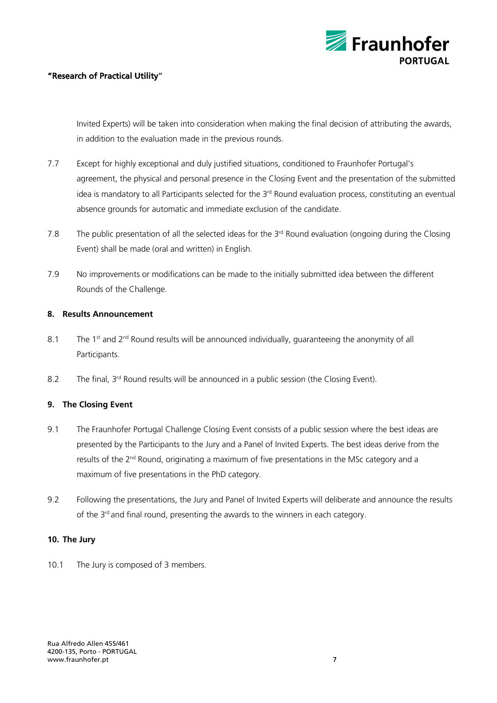

Invited Experts) will be taken into consideration when making the final decision of attributing the awards, in addition to the evaluation made in the previous rounds.

- 7.7 Except for highly exceptional and duly justified situations, conditioned to Fraunhofer Portugal's agreement, the physical and personal presence in the Closing Event and the presentation of the submitted idea is mandatory to all Participants selected for the 3<sup>rd</sup> Round evaluation process, constituting an eventual absence grounds for automatic and immediate exclusion of the candidate.
- 7.8 The public presentation of all the selected ideas for the 3rd Round evaluation (ongoing during the Closing Event) shall be made (oral and written) in English.
- 7.9 No improvements or modifications can be made to the initially submitted idea between the different Rounds of the Challenge.

## **8. Results Announcement**

- 8.1 The 1<sup>st</sup> and 2<sup>nd</sup> Round results will be announced individually, quaranteeing the anonymity of all Participants.
- 8.2 The final, 3<sup>rd</sup> Round results will be announced in a public session (the Closing Event).

# **9. The Closing Event**

- 9.1 The Fraunhofer Portugal Challenge Closing Event consists of a public session where the best ideas are presented by the Participants to the Jury and a Panel of Invited Experts. The best ideas derive from the results of the 2<sup>nd</sup> Round, originating a maximum of five presentations in the MSc category and a maximum of five presentations in the PhD category.
- 9.2 Following the presentations, the Jury and Panel of Invited Experts will deliberate and announce the results of the 3<sup>rd</sup> and final round, presenting the awards to the winners in each category.

# **10. The Jury**

10.1 The Jury is composed of 3 members.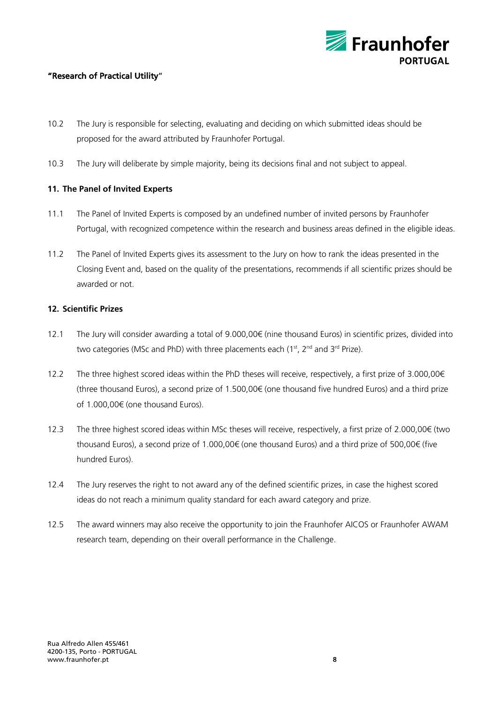

- 10.2 The Jury is responsible for selecting, evaluating and deciding on which submitted ideas should be proposed for the award attributed by Fraunhofer Portugal.
- 10.3 The Jury will deliberate by simple majority, being its decisions final and not subject to appeal.

# **11. The Panel of Invited Experts**

- 11.1 The Panel of Invited Experts is composed by an undefined number of invited persons by Fraunhofer Portugal, with recognized competence within the research and business areas defined in the eligible ideas.
- 11.2 The Panel of Invited Experts gives its assessment to the Jury on how to rank the ideas presented in the Closing Event and, based on the quality of the presentations, recommends if all scientific prizes should be awarded or not.

#### **12. Scientific Prizes**

- 12.1 The Jury will consider awarding a total of 9.000,00€ (nine thousand Euros) in scientific prizes, divided into two categories (MSc and PhD) with three placements each (1<sup>st</sup>, 2<sup>nd</sup> and 3<sup>rd</sup> Prize).
- 12.2 The three highest scored ideas within the PhD theses will receive, respectively, a first prize of 3.000,00€ (three thousand Euros), a second prize of 1.500,00€ (one thousand five hundred Euros) and a third prize of 1.000,00€ (one thousand Euros).
- 12.3 The three highest scored ideas within MSc theses will receive, respectively, a first prize of 2.000,00€ (two thousand Euros), a second prize of 1.000,00€ (one thousand Euros) and a third prize of 500,00€ (five hundred Euros).
- 12.4 The Jury reserves the right to not award any of the defined scientific prizes, in case the highest scored ideas do not reach a minimum quality standard for each award category and prize.
- 12.5 The award winners may also receive the opportunity to join the Fraunhofer AICOS or Fraunhofer AWAM research team, depending on their overall performance in the Challenge.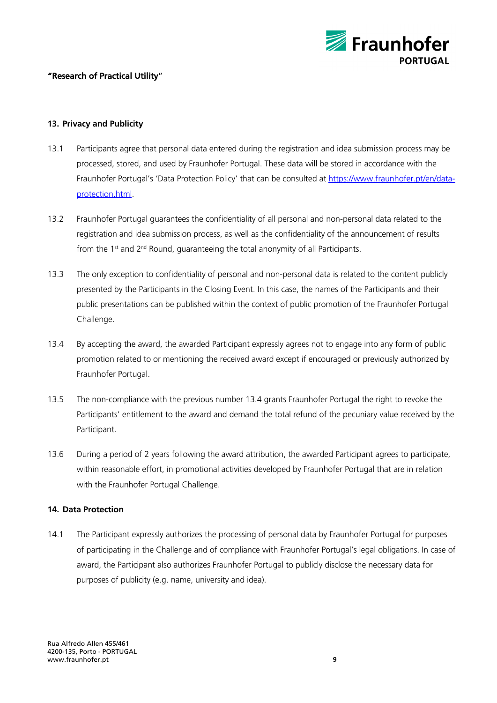

## **13. Privacy and Publicity**

- 13.1 Participants agree that personal data entered during the registration and idea submission process may be processed, stored, and used by Fraunhofer Portugal. These data will be stored in accordance with the Fraunhofer Portugal's 'Data Protection Policy' that can be consulted at https://www.fraunhofer.pt/en/dataprotection.html.
- 13.2 Fraunhofer Portugal guarantees the confidentiality of all personal and non-personal data related to the registration and idea submission process, as well as the confidentiality of the announcement of results from the 1<sup>st</sup> and 2<sup>nd</sup> Round, quaranteeing the total anonymity of all Participants.
- 13.3 The only exception to confidentiality of personal and non-personal data is related to the content publicly presented by the Participants in the Closing Event. In this case, the names of the Participants and their public presentations can be published within the context of public promotion of the Fraunhofer Portugal Challenge.
- 13.4 By accepting the award, the awarded Participant expressly agrees not to engage into any form of public promotion related to or mentioning the received award except if encouraged or previously authorized by Fraunhofer Portugal.
- 13.5 The non-compliance with the previous number 13.4 grants Fraunhofer Portugal the right to revoke the Participants' entitlement to the award and demand the total refund of the pecuniary value received by the Participant.
- 13.6 During a period of 2 years following the award attribution, the awarded Participant agrees to participate, within reasonable effort, in promotional activities developed by Fraunhofer Portugal that are in relation with the Fraunhofer Portugal Challenge.

#### **14. Data Protection**

14.1 The Participant expressly authorizes the processing of personal data by Fraunhofer Portugal for purposes of participating in the Challenge and of compliance with Fraunhofer Portugal's legal obligations. In case of award, the Participant also authorizes Fraunhofer Portugal to publicly disclose the necessary data for purposes of publicity (e.g. name, university and idea).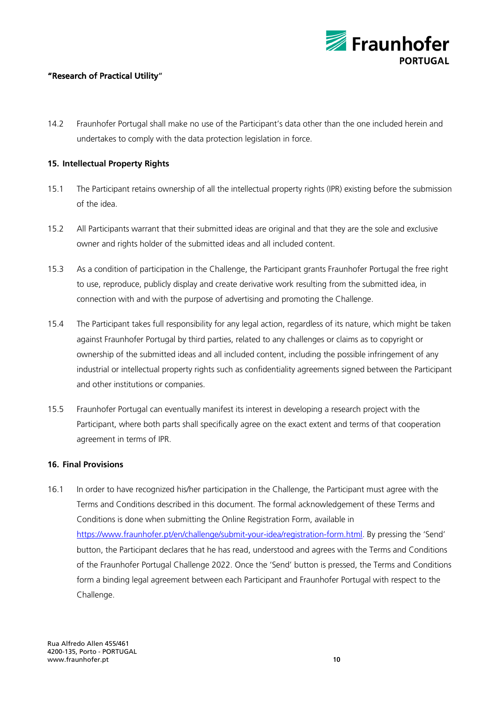

14.2 Fraunhofer Portugal shall make no use of the Participant's data other than the one included herein and undertakes to comply with the data protection legislation in force.

## **15. Intellectual Property Rights**

- 15.1 The Participant retains ownership of all the intellectual property rights (IPR) existing before the submission of the idea.
- 15.2 All Participants warrant that their submitted ideas are original and that they are the sole and exclusive owner and rights holder of the submitted ideas and all included content.
- 15.3 As a condition of participation in the Challenge, the Participant grants Fraunhofer Portugal the free right to use, reproduce, publicly display and create derivative work resulting from the submitted idea, in connection with and with the purpose of advertising and promoting the Challenge.
- 15.4 The Participant takes full responsibility for any legal action, regardless of its nature, which might be taken against Fraunhofer Portugal by third parties, related to any challenges or claims as to copyright or ownership of the submitted ideas and all included content, including the possible infringement of any industrial or intellectual property rights such as confidentiality agreements signed between the Participant and other institutions or companies.
- 15.5 Fraunhofer Portugal can eventually manifest its interest in developing a research project with the Participant, where both parts shall specifically agree on the exact extent and terms of that cooperation agreement in terms of IPR.

#### **16. Final Provisions**

16.1 In order to have recognized his/her participation in the Challenge, the Participant must agree with the Terms and Conditions described in this document. The formal acknowledgement of these Terms and Conditions is done when submitting the Online Registration Form, available in https://www.fraunhofer.pt/en/challenge/submit-your-idea/registration-form.html. By pressing the 'Send' button, the Participant declares that he has read, understood and agrees with the Terms and Conditions of the Fraunhofer Portugal Challenge 2022. Once the 'Send' button is pressed, the Terms and Conditions form a binding legal agreement between each Participant and Fraunhofer Portugal with respect to the Challenge.